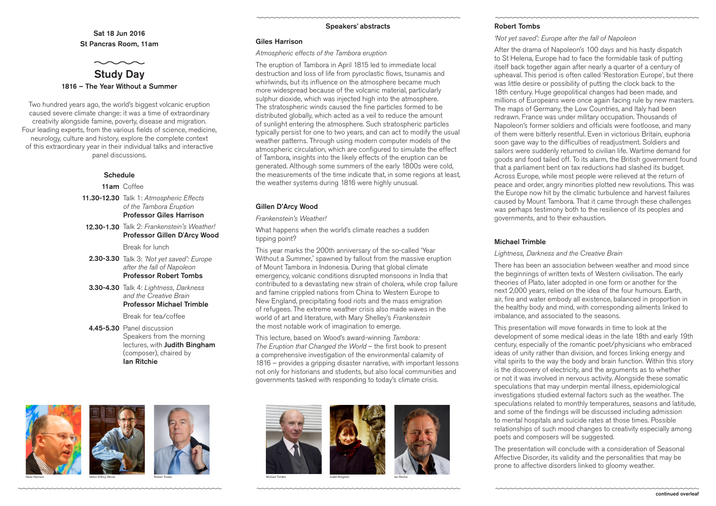

# *'Not yet saved': Europe after the fall of Napoleon*

After the drama of Napoleon's 100 days and his hasty dispatch to St Helena, Europe had to face the formidable task of putting itself back together again after nearly a quarter of a century of upheaval. This period is often called 'Restoration Europe', but there was little desire or possibility of putting the clock back to the 18th century. Huge geopolitical changes had been made, and millions of Europeans were once again facing rule by new masters. The maps of Germany, the Low Countries, and Italy had been redrawn. France was under military occupation. Thousands of Napoleon's former soldiers and officials were footloose, and many of them were bitterly resentful. Even in victorious Britain, euphoria soon gave way to the difficulties of readjustment. Soldiers and sailors were suddenly returned to civilian life. Wartime demand for goods and food tailed off. To its alarm, the British government found that a parliament bent on tax reductions had slashed its budget. Across Europe, while most people were relieved at the return of peace and order, angry minorities plotted new revolutions. This was the Europe now hit by the climatic turbulence and harvest failures caused by Mount Tambora. That it came through these challenges was perhaps testimony both to the resilience of its peoples and governments, and to their exhaustion.

# Michael Trimble

# *Lightness, Darkness and the Creative Brain*

There has been an association between weather and mood since the beginnings of written texts of Western civilisation. The early theories of Plato, later adopted in one form or another for the next 2,000 years, relied on the idea of the four humours. Earth, air, fire and water embody all existence, balanced in proportion in the healthy body and mind, with corresponding ailments linked to imbalance, and associated to the seasons.

This presentation will move forwards in time to look at the development of some medical ideas in the late 18th and early 19th century, especially of the romantic poet/physicians who embraced ideas of unity rather than division, and forces linking energy and vital spirits to the way the body and brain function. Within this story is the discovery of electricity, and the arguments as to whether or not it was involved in nervous activity. Alongside these somatic speculations that may underpin mental illness, epidemiological investigations studied external factors such as the weather. The speculations related to monthly temperatures, seasons and latitude, and some of the findings will be discussed including admission to mental hospitals and suicide rates at those times. Possible relationships of such mood changes to creativity especially among poets and composers will be suggested.

The presentation will conclude with a consideration of Seasonal Affective Disorder, its validity and the personalities that may be prone to affective disorders linked to gloomy weather.



Sat 18 Jun 2016 St Pancras Room, 11am

- 11.30-12.30 Talk 1: *Atmospheric Effects of the Tambora Eruption* Professor Giles Harrison
- 12.30-1.30 Talk 2: *Frankenstein's Weather!* Professor Gillen D'Arcy Wood

- 2.30-3.30 Talk 3: *'Not yet saved': Europe after the fall of Napoleon* Professor Robert Tombs
- 3.30-4.30 Talk 4: *Lightness, Darkness and the Creative Brain* Professor Michael Trimble

Break for lunch

4.45-5.30 Panel discussion Speakers from the morning lectures, with Judith Bingham (composer), chaired by Ian Ritchie

Break for tea/coffee

## Speakers' abstracts

### Giles Harrison

### *Atmospheric effects of the Tambora eruption*

The eruption of Tambora in April 1815 led to immediate local destruction and loss of life from pyroclastic flows, tsunamis and whirlwinds, but its influence on the atmosphere became much more widespread because of the volcanic material, particularly sulphur dioxide, which was injected high into the atmosphere. The stratospheric winds caused the fine particles formed to be distributed globally, which acted as a veil to reduce the amount of sunlight entering the atmosphere. Such stratospheric particles typically persist for one to two years, and can act to modify the usual weather patterns. Through using modern computer models of the atmospheric circulation, which are configured to simulate the effect of Tambora, insights into the likely effects of the eruption can be generated. Although some summers of the early 1800s were cold, the measurements of the time indicate that, in some regions at least, the weather systems during 1816 were highly unusual.

# Gillen D'Arcy Wood

*Frankenstein's Weather!*

What happens when the world's climate reaches a sudden tipping point?

This year marks the 200th anniversary of the so-called 'Year Without a Summer,' spawned by fallout from the massive eruption of Mount Tambora in Indonesia. During that global climate emergency, volcanic conditions disrupted monsoons in India that contributed to a devastating new strain of cholera, while crop failure and famine crippled nations from China to Western Europe to New England, precipitating food riots and the mass emigration of refugees. The extreme weather crisis also made waves in the world of art and literature, with Mary Shelley's *Frankenstein*  the most notable work of imagination to emerge.

This lecture, based on Wood's award-winning *Tambora: The Eruption that Changed the World* – the first book to present a comprehensive investigation of the environmental calamity of 1816 – provides a gripping disaster narrative, with important lessons not only for historians and students, but also local communities and governments tasked with responding to today's climate crisis.





Two hundred years ago, the world's biggest volcanic eruption caused severe climate change: it was a time of extraordinary creativity alongside famine, poverty, disease and migration. Four leading experts, from the various fields of science, medicine, neurology, culture and history, explore the complete context of this extraordinary year in their individual talks and interactive panel discussions.

# **Schedule**

11am Coffee